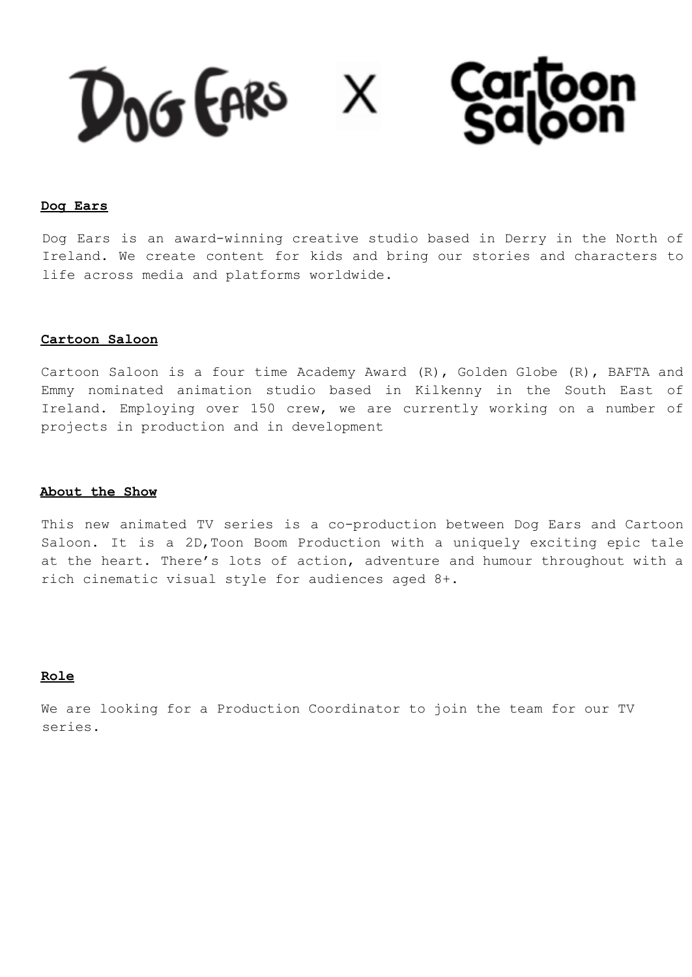Carloon<br>Saloon DOG GARS X

### **Dog Ears**

Dog Ears is an award-winning creative studio based in Derry in the North of Ireland. We create content for kids and bring our stories and characters to life across media and platforms worldwide.

### **Cartoon Saloon**

Cartoon Saloon is a four time Academy Award (R), Golden Globe (R), BAFTA and Emmy nominated animation studio based in Kilkenny in the South East of Ireland. Employing over 150 crew, we are currently working on a number of projects in production and in development

### **About the Show**

This new animated TV series is a co-production between Dog Ears and Cartoon Saloon. It is a 2D,Toon Boom Production with a uniquely exciting epic tale at the heart. There's lots of action, adventure and humour throughout with a rich cinematic visual style for audiences aged 8+.

## **Role**

We are looking for a Production Coordinator to join the team for our TV series.